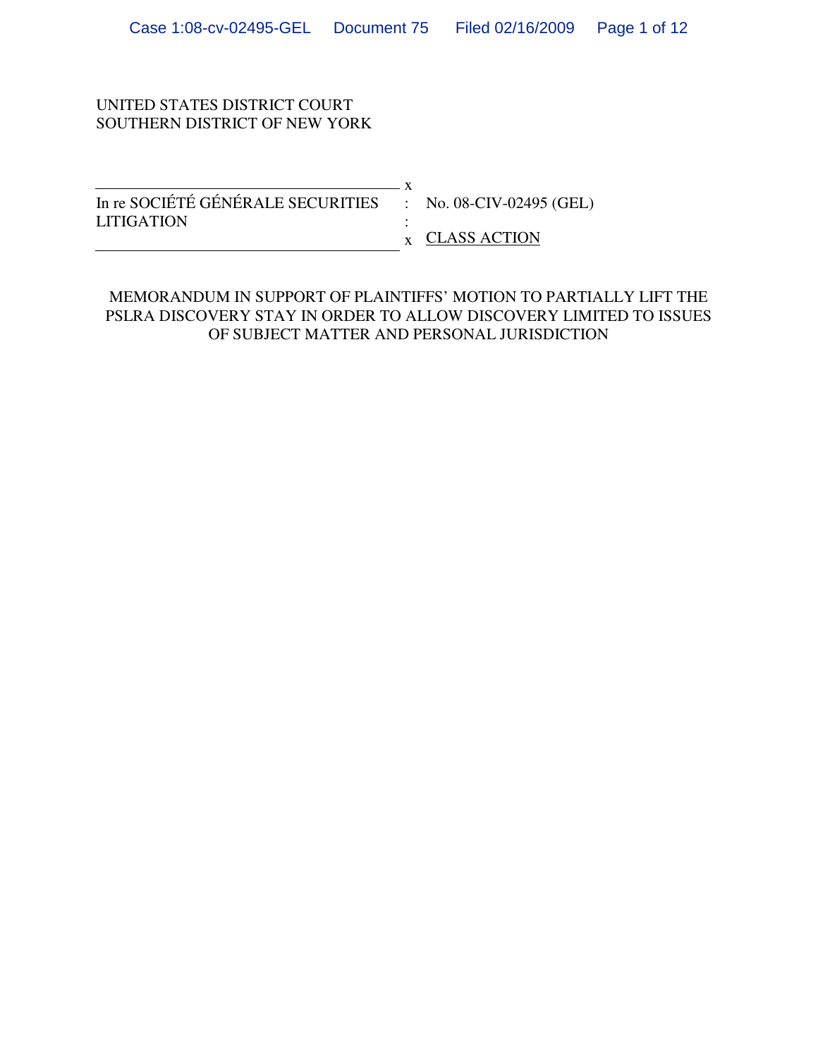#### UNITED STATES DISTRICT COURT SOUTHERN DISTRICT OF NEW YORK

x In re SOCIÉTÉ GÉNÉRALE SECURITIES : No. 08-CIV-02495 (GEL) LITIGATION : x CLASS ACTION

## MEMORANDUM IN SUPPORT OF PLAINTIFFS' MOTION TO PARTIALLY LIFT THE PSLRA DISCOVERY STAY IN ORDER TO ALLOW DISCOVERY LIMITED TO ISSUES OF SUBJECT MATTER AND PERSONAL JURISDICTION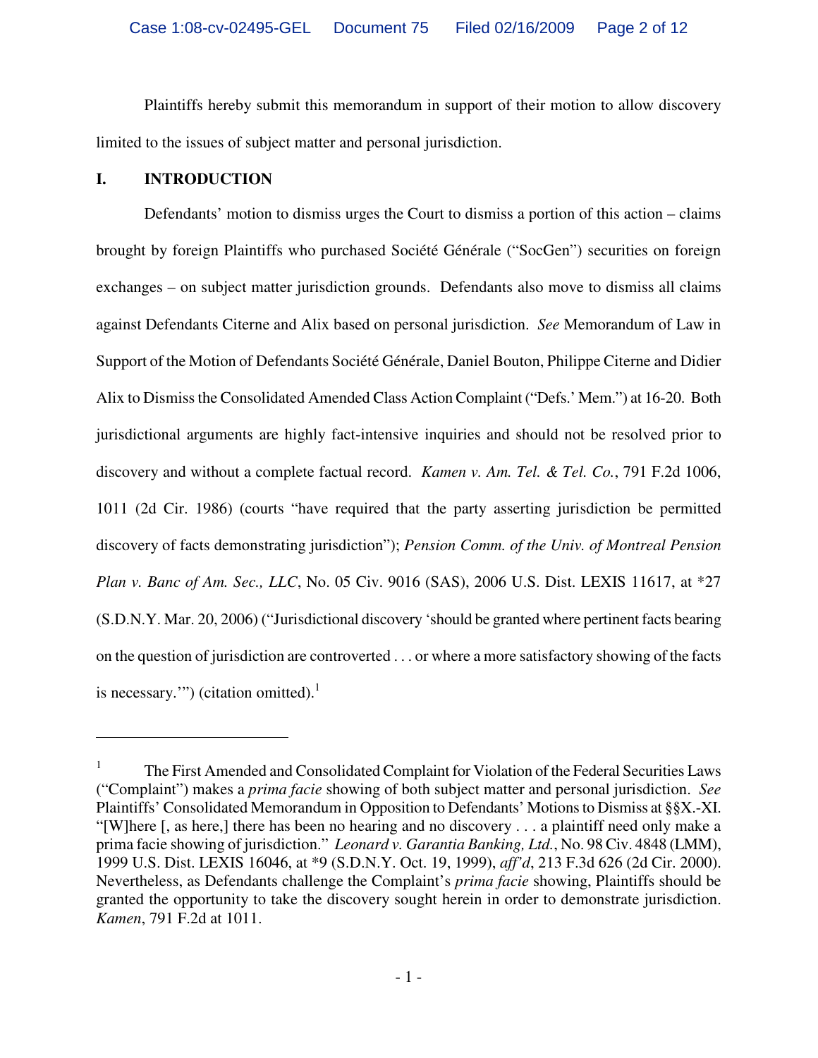Plaintiffs hereby submit this memorandum in support of their motion to allow discovery limited to the issues of subject matter and personal jurisdiction.

#### **I. INTRODUCTION**

<u>.</u>

Defendants' motion to dismiss urges the Court to dismiss a portion of this action – claims brought by foreign Plaintiffs who purchased Société Générale ("SocGen") securities on foreign exchanges – on subject matter jurisdiction grounds. Defendants also move to dismiss all claims against Defendants Citerne and Alix based on personal jurisdiction. *See* Memorandum of Law in Support of the Motion of Defendants Société Générale, Daniel Bouton, Philippe Citerne and Didier Alix to Dismiss the Consolidated Amended Class Action Complaint ("Defs.' Mem.") at 16-20. Both jurisdictional arguments are highly fact-intensive inquiries and should not be resolved prior to discovery and without a complete factual record. *Kamen v. Am. Tel. & Tel. Co.*, 791 F.2d 1006, 1011 (2d Cir. 1986) (courts "have required that the party asserting jurisdiction be permitted discovery of facts demonstrating jurisdiction"); *Pension Comm. of the Univ. of Montreal Pension Plan v. Banc of Am. Sec., LLC*, No. 05 Civ. 9016 (SAS), 2006 U.S. Dist. LEXIS 11617, at \*27 (S.D.N.Y. Mar. 20, 2006) ("Jurisdictional discovery 'should be granted where pertinent facts bearing on the question of jurisdiction are controverted . . . or where a more satisfactory showing of the facts is necessary.'") (citation omitted). $1$ 

<sup>1</sup> The First Amended and Consolidated Complaint for Violation of the Federal Securities Laws ("Complaint") makes a *prima facie* showing of both subject matter and personal jurisdiction. *See*  Plaintiffs' Consolidated Memorandum in Opposition to Defendants' Motions to Dismiss at §§X.-XI. "[W]here [, as here,] there has been no hearing and no discovery . . . a plaintiff need only make a prima facie showing of jurisdiction." *Leonard v. Garantia Banking, Ltd.*, No. 98 Civ. 4848 (LMM), 1999 U.S. Dist. LEXIS 16046, at \*9 (S.D.N.Y. Oct. 19, 1999), *aff'd*, 213 F.3d 626 (2d Cir. 2000). Nevertheless, as Defendants challenge the Complaint's *prima facie* showing, Plaintiffs should be granted the opportunity to take the discovery sought herein in order to demonstrate jurisdiction. *Kamen*, 791 F.2d at 1011.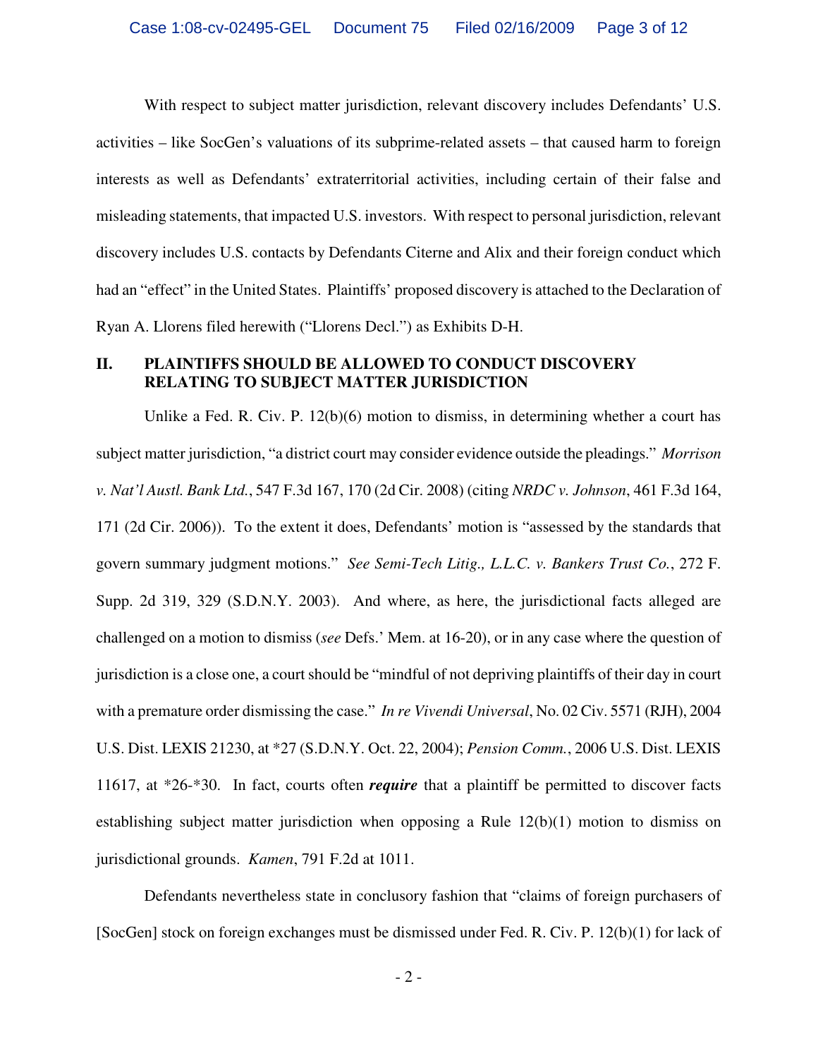With respect to subject matter jurisdiction, relevant discovery includes Defendants' U.S. activities – like SocGen's valuations of its subprime-related assets – that caused harm to foreign interests as well as Defendants' extraterritorial activities, including certain of their false and misleading statements, that impacted U.S. investors. With respect to personal jurisdiction, relevant discovery includes U.S. contacts by Defendants Citerne and Alix and their foreign conduct which had an "effect" in the United States. Plaintiffs' proposed discovery is attached to the Declaration of Ryan A. Llorens filed herewith ("Llorens Decl.") as Exhibits D-H.

#### **II. PLAINTIFFS SHOULD BE ALLOWED TO CONDUCT DISCOVERY RELATING TO SUBJECT MATTER JURISDICTION**

Unlike a Fed. R. Civ. P. 12(b)(6) motion to dismiss, in determining whether a court has subject matter jurisdiction, "a district court may consider evidence outside the pleadings." *Morrison v. Nat'l Austl. Bank Ltd.*, 547 F.3d 167, 170 (2d Cir. 2008) (citing *NRDC v. Johnson*, 461 F.3d 164, 171 (2d Cir. 2006)). To the extent it does, Defendants' motion is "assessed by the standards that govern summary judgment motions." *See Semi-Tech Litig., L.L.C. v. Bankers Trust Co.*, 272 F. Supp. 2d 319, 329 (S.D.N.Y. 2003). And where, as here, the jurisdictional facts alleged are challenged on a motion to dismiss (*see* Defs.' Mem. at 16-20), or in any case where the question of jurisdiction is a close one, a court should be "mindful of not depriving plaintiffs of their day in court with a premature order dismissing the case." *In re Vivendi Universal*, No. 02 Civ. 5571 (RJH), 2004 U.S. Dist. LEXIS 21230, at \*27 (S.D.N.Y. Oct. 22, 2004); *Pension Comm.*, 2006 U.S. Dist. LEXIS 11617, at \*26-\*30. In fact, courts often *require* that a plaintiff be permitted to discover facts establishing subject matter jurisdiction when opposing a Rule 12(b)(1) motion to dismiss on jurisdictional grounds. *Kamen*, 791 F.2d at 1011.

Defendants nevertheless state in conclusory fashion that "claims of foreign purchasers of [SocGen] stock on foreign exchanges must be dismissed under Fed. R. Civ. P. 12(b)(1) for lack of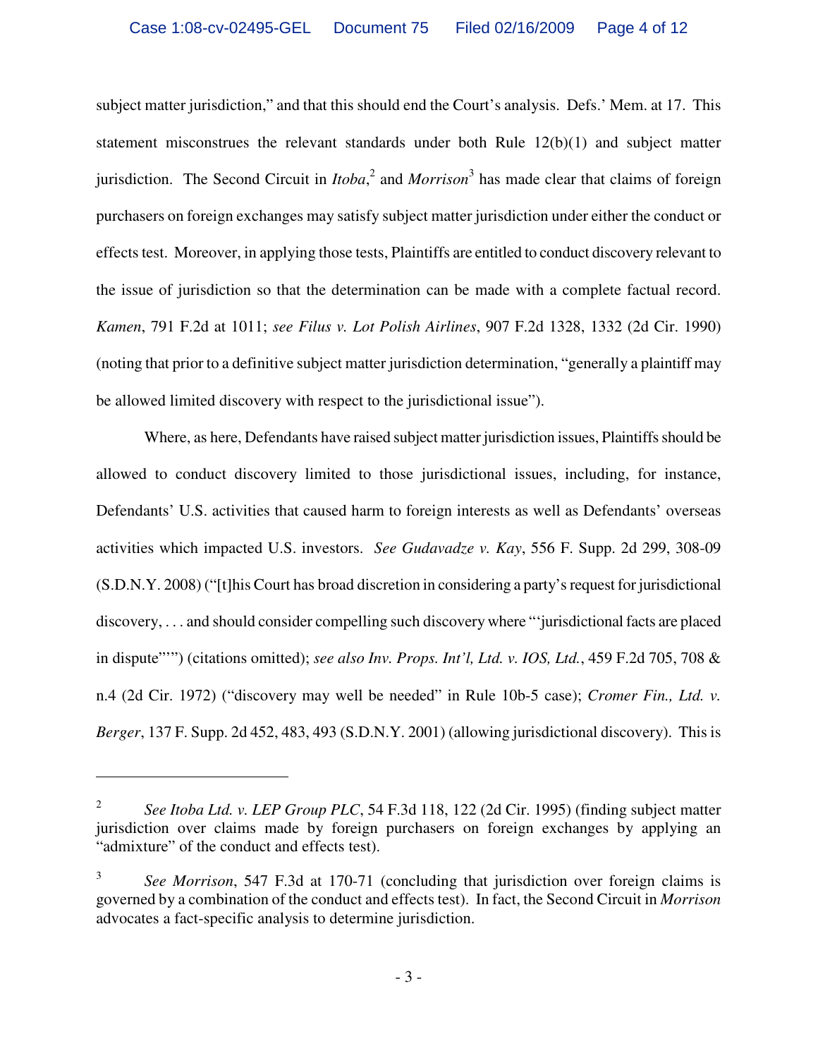subject matter jurisdiction," and that this should end the Court's analysis. Defs.' Mem. at 17. This statement misconstrues the relevant standards under both Rule  $12(b)(1)$  and subject matter jurisdiction. The Second Circuit in *Itoba*, 2 and *Morrison*<sup>3</sup> has made clear that claims of foreign purchasers on foreign exchanges may satisfy subject matter jurisdiction under either the conduct or effects test. Moreover, in applying those tests, Plaintiffs are entitled to conduct discovery relevant to the issue of jurisdiction so that the determination can be made with a complete factual record. *Kamen*, 791 F.2d at 1011; *see Filus v. Lot Polish Airlines*, 907 F.2d 1328, 1332 (2d Cir. 1990) (noting that prior to a definitive subject matter jurisdiction determination, "generally a plaintiff may be allowed limited discovery with respect to the jurisdictional issue").

Where, as here, Defendants have raised subject matter jurisdiction issues, Plaintiffs should be allowed to conduct discovery limited to those jurisdictional issues, including, for instance, Defendants' U.S. activities that caused harm to foreign interests as well as Defendants' overseas activities which impacted U.S. investors. *See Gudavadze v. Kay*, 556 F. Supp. 2d 299, 308-09 (S.D.N.Y. 2008) ("[t]his Court has broad discretion in considering a party's request for jurisdictional discovery, . . . and should consider compelling such discovery where "'jurisdictional facts are placed in dispute"'") (citations omitted); *see also Inv. Props. Int'l, Ltd. v. IOS, Ltd.*, 459 F.2d 705, 708 & n.4 (2d Cir. 1972) ("discovery may well be needed" in Rule 10b-5 case); *Cromer Fin., Ltd. v. Berger*, 137 F. Supp. 2d 452, 483, 493 (S.D.N.Y. 2001) (allowing jurisdictional discovery). This is

1

<sup>2</sup>  *See Itoba Ltd. v. LEP Group PLC*, 54 F.3d 118, 122 (2d Cir. 1995) (finding subject matter jurisdiction over claims made by foreign purchasers on foreign exchanges by applying an "admixture" of the conduct and effects test).

<sup>3</sup>  *See Morrison*, 547 F.3d at 170-71 (concluding that jurisdiction over foreign claims is governed by a combination of the conduct and effects test). In fact, the Second Circuit in *Morrison*  advocates a fact-specific analysis to determine jurisdiction.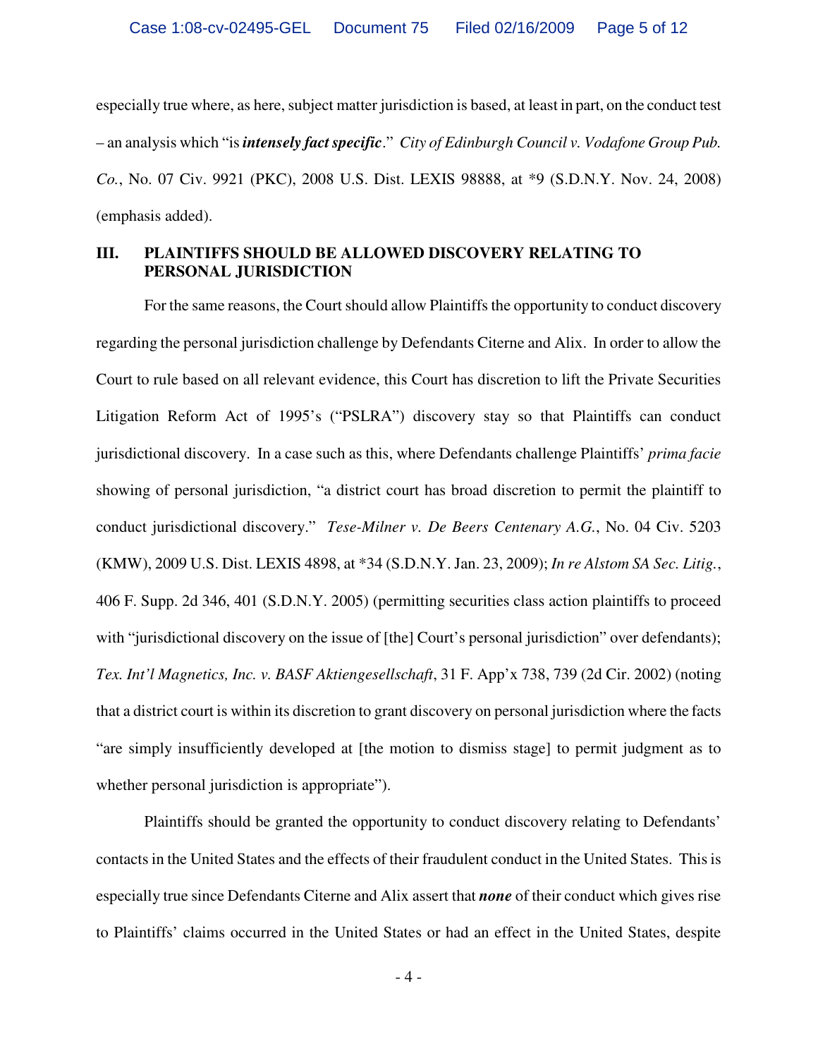especially true where, as here, subject matter jurisdiction is based, at least in part, on the conduct test – an analysis which "is *intensely fact specific*." *City of Edinburgh Council v. Vodafone Group Pub. Co.*, No. 07 Civ. 9921 (PKC), 2008 U.S. Dist. LEXIS 98888, at \*9 (S.D.N.Y. Nov. 24, 2008) (emphasis added).

## **III. PLAINTIFFS SHOULD BE ALLOWED DISCOVERY RELATING TO PERSONAL JURISDICTION**

For the same reasons, the Court should allow Plaintiffs the opportunity to conduct discovery regarding the personal jurisdiction challenge by Defendants Citerne and Alix. In order to allow the Court to rule based on all relevant evidence, this Court has discretion to lift the Private Securities Litigation Reform Act of 1995's ("PSLRA") discovery stay so that Plaintiffs can conduct jurisdictional discovery. In a case such as this, where Defendants challenge Plaintiffs' *prima facie*  showing of personal jurisdiction, "a district court has broad discretion to permit the plaintiff to conduct jurisdictional discovery." *Tese-Milner v. De Beers Centenary A.G.*, No. 04 Civ. 5203 (KMW), 2009 U.S. Dist. LEXIS 4898, at \*34 (S.D.N.Y. Jan. 23, 2009); *In re Alstom SA Sec. Litig.*, 406 F. Supp. 2d 346, 401 (S.D.N.Y. 2005) (permitting securities class action plaintiffs to proceed with "jurisdictional discovery on the issue of [the] Court's personal jurisdiction" over defendants); *Tex. Int'l Magnetics, Inc. v. BASF Aktiengesellschaft*, 31 F. App'x 738, 739 (2d Cir. 2002) (noting that a district court is within its discretion to grant discovery on personal jurisdiction where the facts "are simply insufficiently developed at [the motion to dismiss stage] to permit judgment as to whether personal jurisdiction is appropriate").

Plaintiffs should be granted the opportunity to conduct discovery relating to Defendants' contacts in the United States and the effects of their fraudulent conduct in the United States. This is especially true since Defendants Citerne and Alix assert that *none* of their conduct which gives rise to Plaintiffs' claims occurred in the United States or had an effect in the United States, despite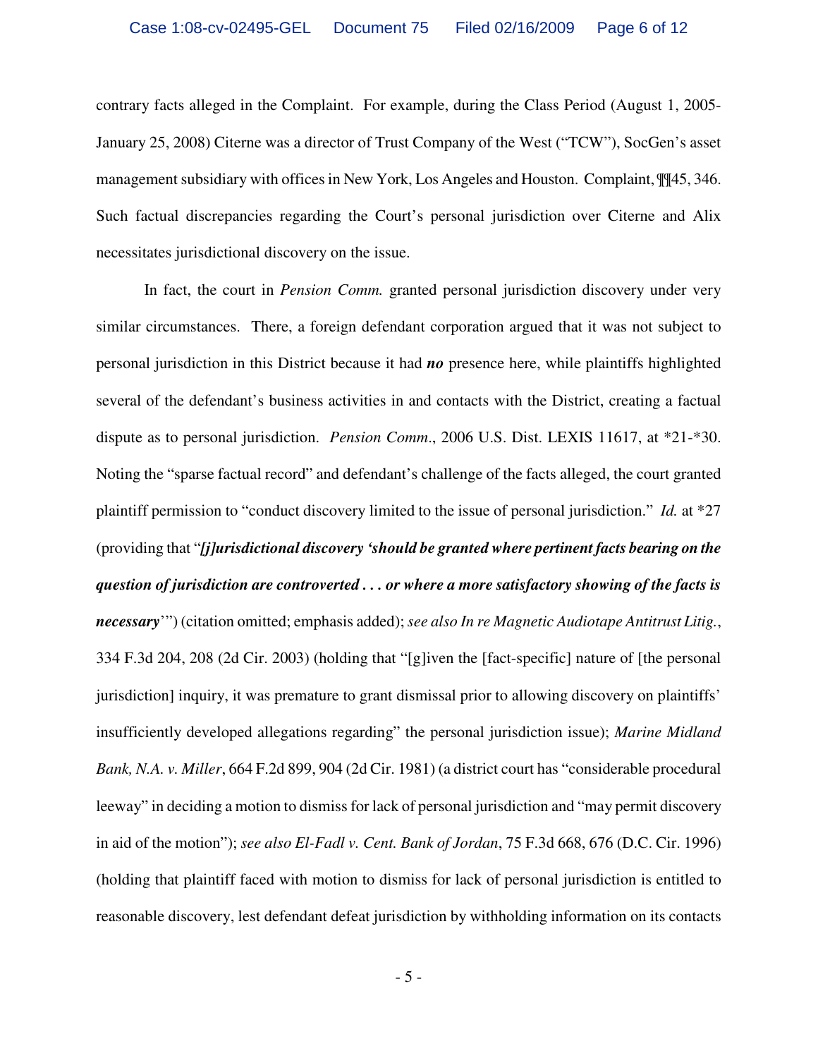contrary facts alleged in the Complaint. For example, during the Class Period (August 1, 2005- January 25, 2008) Citerne was a director of Trust Company of the West ("TCW"), SocGen's asset management subsidiary with offices in New York, Los Angeles and Houston. Complaint, ¶¶45, 346. Such factual discrepancies regarding the Court's personal jurisdiction over Citerne and Alix necessitates jurisdictional discovery on the issue.

In fact, the court in *Pension Comm.* granted personal jurisdiction discovery under very similar circumstances. There, a foreign defendant corporation argued that it was not subject to personal jurisdiction in this District because it had *no* presence here, while plaintiffs highlighted several of the defendant's business activities in and contacts with the District, creating a factual dispute as to personal jurisdiction. *Pension Comm*., 2006 U.S. Dist. LEXIS 11617, at \*21-\*30. Noting the "sparse factual record" and defendant's challenge of the facts alleged, the court granted plaintiff permission to "conduct discovery limited to the issue of personal jurisdiction." *Id.* at \*27 (providing that "*[j]urisdictional discovery 'should be granted where pertinent facts bearing on the question of jurisdiction are controverted . . . or where a more satisfactory showing of the facts is necessary*'") (citation omitted; emphasis added); *see also In re Magnetic Audiotape Antitrust Litig.*, 334 F.3d 204, 208 (2d Cir. 2003) (holding that "[g]iven the [fact-specific] nature of [the personal jurisdiction] inquiry, it was premature to grant dismissal prior to allowing discovery on plaintiffs' insufficiently developed allegations regarding" the personal jurisdiction issue); *Marine Midland Bank, N.A. v. Miller*, 664 F.2d 899, 904 (2d Cir. 1981) (a district court has "considerable procedural leeway" in deciding a motion to dismiss for lack of personal jurisdiction and "may permit discovery in aid of the motion"); *see also El-Fadl v. Cent. Bank of Jordan*, 75 F.3d 668, 676 (D.C. Cir. 1996) (holding that plaintiff faced with motion to dismiss for lack of personal jurisdiction is entitled to reasonable discovery, lest defendant defeat jurisdiction by withholding information on its contacts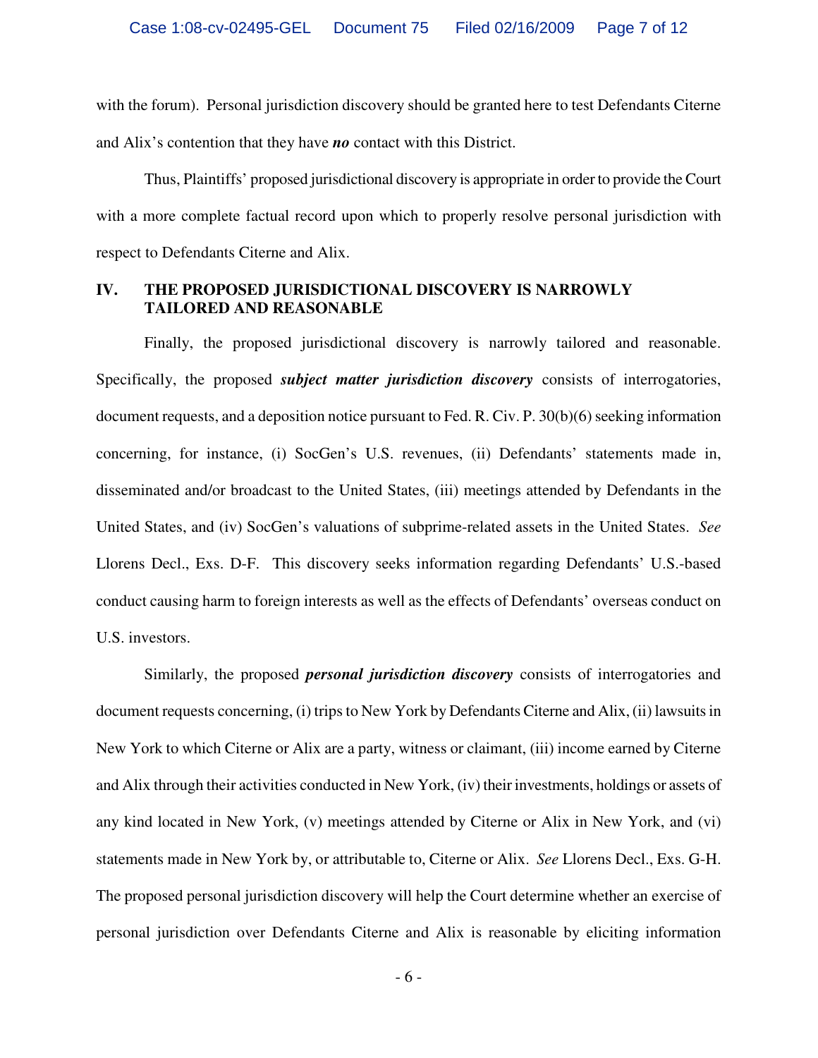with the forum). Personal jurisdiction discovery should be granted here to test Defendants Citerne and Alix's contention that they have *no* contact with this District.

Thus, Plaintiffs' proposed jurisdictional discovery is appropriate in order to provide the Court with a more complete factual record upon which to properly resolve personal jurisdiction with respect to Defendants Citerne and Alix.

#### **IV. THE PROPOSED JURISDICTIONAL DISCOVERY IS NARROWLY TAILORED AND REASONABLE**

Finally, the proposed jurisdictional discovery is narrowly tailored and reasonable. Specifically, the proposed *subject matter jurisdiction discovery* consists of interrogatories, document requests, and a deposition notice pursuant to Fed. R. Civ. P. 30(b)(6) seeking information concerning, for instance, (i) SocGen's U.S. revenues, (ii) Defendants' statements made in, disseminated and/or broadcast to the United States, (iii) meetings attended by Defendants in the United States, and (iv) SocGen's valuations of subprime-related assets in the United States. *See* Llorens Decl., Exs. D-F. This discovery seeks information regarding Defendants' U.S.-based conduct causing harm to foreign interests as well as the effects of Defendants' overseas conduct on U.S. investors.

Similarly, the proposed *personal jurisdiction discovery* consists of interrogatories and document requests concerning, (i) trips to New York by Defendants Citerne and Alix, (ii) lawsuits in New York to which Citerne or Alix are a party, witness or claimant, (iii) income earned by Citerne and Alix through their activities conducted in New York, (iv) their investments, holdings or assets of any kind located in New York, (v) meetings attended by Citerne or Alix in New York, and (vi) statements made in New York by, or attributable to, Citerne or Alix. *See* Llorens Decl., Exs. G-H. The proposed personal jurisdiction discovery will help the Court determine whether an exercise of personal jurisdiction over Defendants Citerne and Alix is reasonable by eliciting information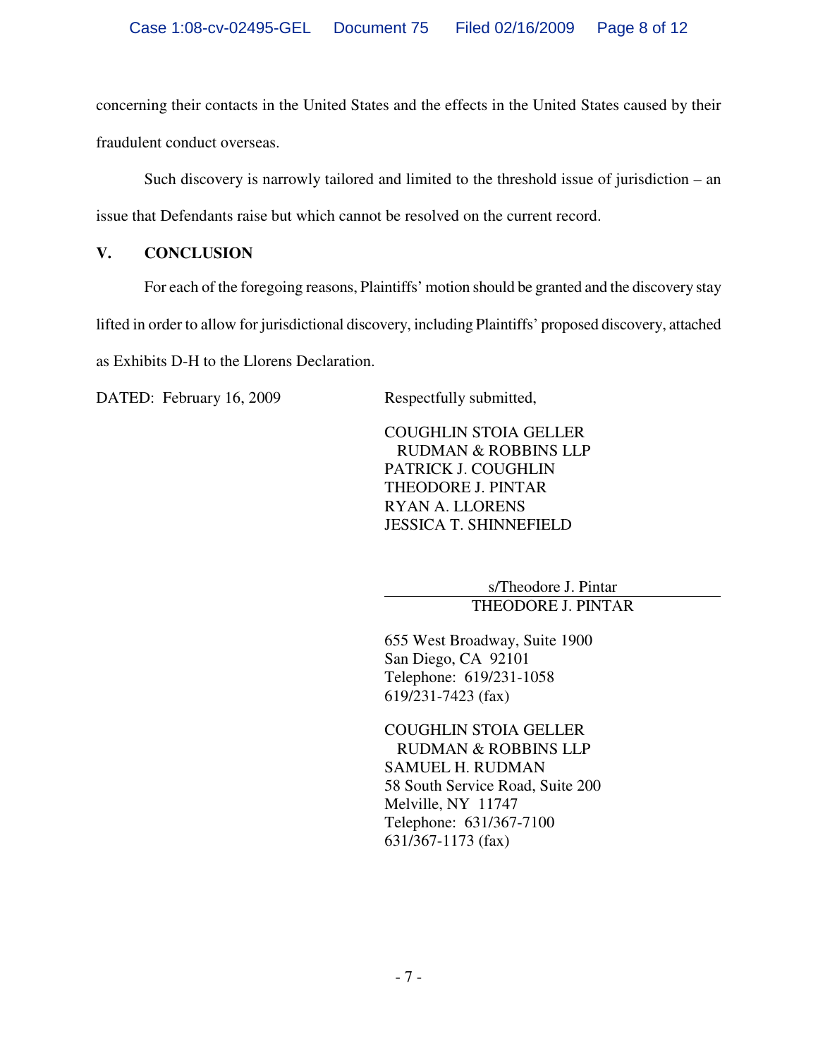concerning their contacts in the United States and the effects in the United States caused by their fraudulent conduct overseas.

Such discovery is narrowly tailored and limited to the threshold issue of jurisdiction – an issue that Defendants raise but which cannot be resolved on the current record.

# **V. CONCLUSION**

For each of the foregoing reasons, Plaintiffs' motion should be granted and the discovery stay

lifted in order to allow for jurisdictional discovery, including Plaintiffs' proposed discovery, attached

as Exhibits D-H to the Llorens Declaration.

DATED: February 16, 2009 Respectfully submitted,

COUGHLIN STOIA GELLER RUDMAN & ROBBINS LLP PATRICK J. COUGHLIN THEODORE J. PINTAR RYAN A. LLORENS JESSICA T. SHINNEFIELD

> s/Theodore J. Pintar THEODORE J. PINTAR

655 West Broadway, Suite 1900 San Diego, CA 92101 Telephone: 619/231-1058 619/231-7423 (fax)

COUGHLIN STOIA GELLER RUDMAN & ROBBINS LLP SAMUEL H. RUDMAN 58 South Service Road, Suite 200 Melville, NY 11747 Telephone: 631/367-7100 631/367-1173 (fax)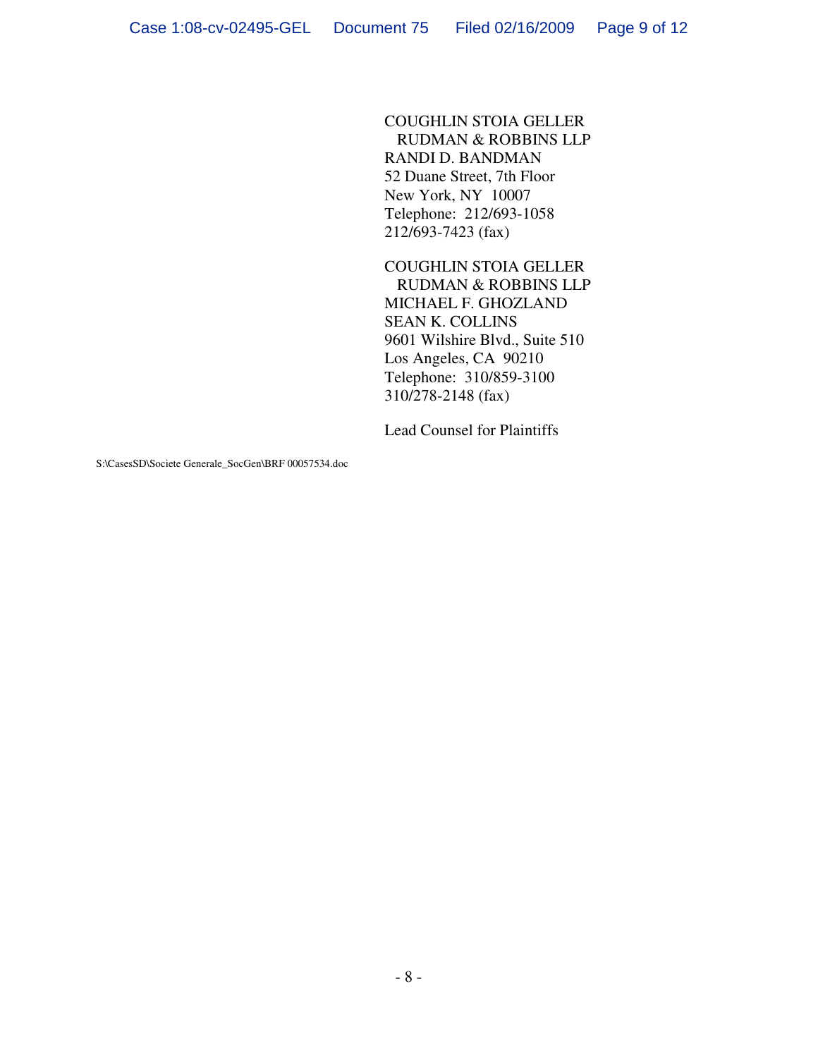COUGHLIN STOIA GELLER RUDMAN & ROBBINS LLP RANDI D. BANDMAN 52 Duane Street, 7th Floor New York, NY 10007 Telephone: 212/693-1058 212/693-7423 (fax)

COUGHLIN STOIA GELLER RUDMAN & ROBBINS LLP MICHAEL F. GHOZLAND SEAN K. COLLINS 9601 Wilshire Blvd., Suite 510 Los Angeles, CA 90210 Telephone: 310/859-3100 310/278-2148 (fax)

Lead Counsel for Plaintiffs

S:\CasesSD\Societe Generale\_SocGen\BRF 00057534.doc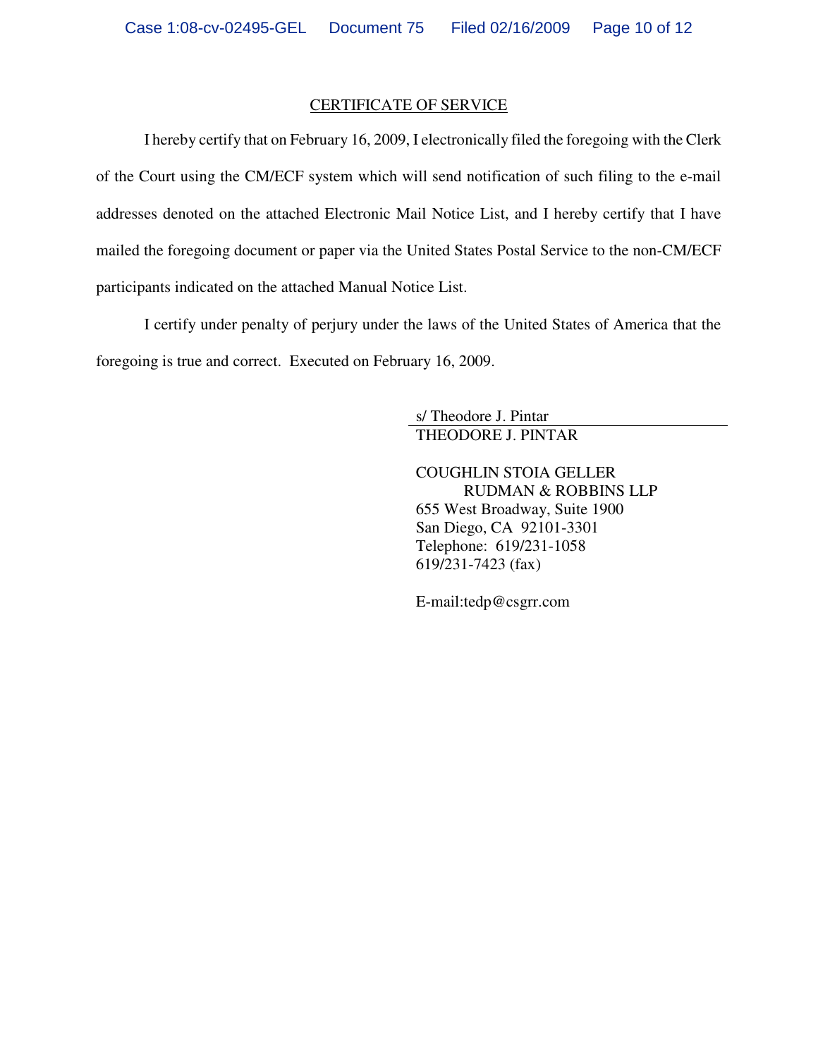#### CERTIFICATE OF SERVICE

I hereby certify that on February 16, 2009, I electronically filed the foregoing with the Clerk of the Court using the CM/ECF system which will send notification of such filing to the e-mail addresses denoted on the attached Electronic Mail Notice List, and I hereby certify that I have mailed the foregoing document or paper via the United States Postal Service to the non-CM/ECF participants indicated on the attached Manual Notice List.

I certify under penalty of perjury under the laws of the United States of America that the foregoing is true and correct. Executed on February 16, 2009.

> s/ Theodore J. Pintar THEODORE J. PINTAR

COUGHLIN STOIA GELLER RUDMAN & ROBBINS LLP 655 West Broadway, Suite 1900 San Diego, CA 92101-3301 Telephone: 619/231-1058 619/231-7423 (fax)

E-mail:tedp@csgrr.com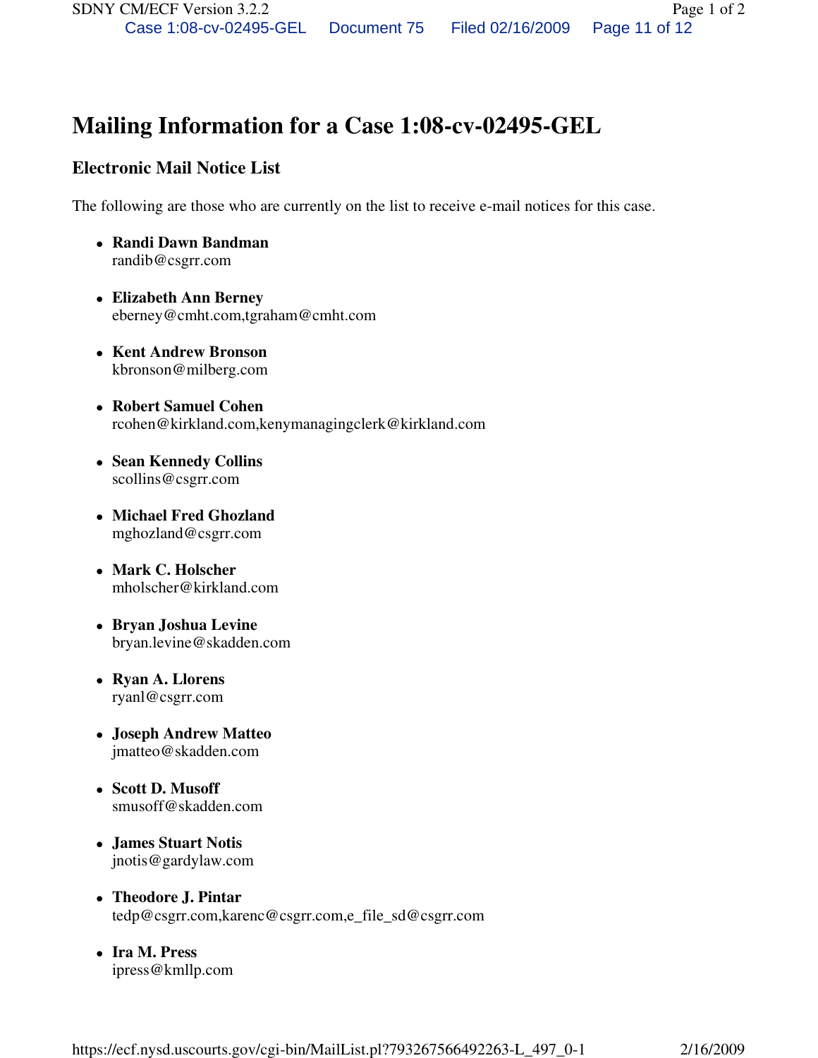# **Mailing Information for a Case 1:08-cv-02495-GEL**

# **Electronic Mail Notice List**

The following are those who are currently on the list to receive e-mail notices for this case.

- **Randi Dawn Bandman**  randib@csgrr.com
- **Elizabeth Ann Berney**  eberney@cmht.com,tgraham@cmht.com
- **Kent Andrew Bronson**  kbronson@milberg.com
- **Robert Samuel Cohen**  rcohen@kirkland.com,kenymanagingclerk@kirkland.com
- **Sean Kennedy Collins**  scollins@csgrr.com
- **Michael Fred Ghozland**  mghozland@csgrr.com
- **Mark C. Holscher**  mholscher@kirkland.com
- **Bryan Joshua Levine**  bryan.levine@skadden.com
- **Ryan A. Llorens**  ryanl@csgrr.com
- **Joseph Andrew Matteo**  jmatteo@skadden.com
- **Scott D. Musoff**  smusoff@skadden.com
- **James Stuart Notis**  jnotis@gardylaw.com
- **Theodore J. Pintar**  tedp@csgrr.com,karenc@csgrr.com,e\_file\_sd@csgrr.com
- **Ira M. Press**  ipress@kmllp.com